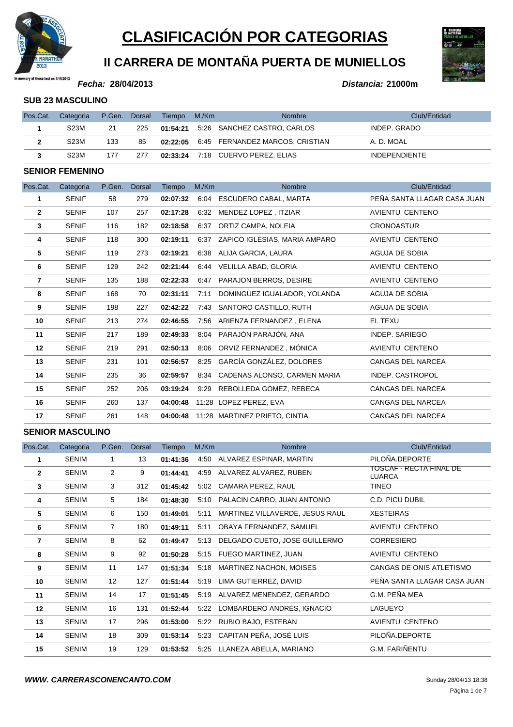

# **CLASIFICACIÓN POR CATEGORIAS**

# **II CARRERA DE MONTAÑA PUERTA DE MUNIELLOS**

#### **Fecha:**

**28/04/2013 Distancia: 21000m**

#### **SUB 23 MASCULINO**

| Pos.Cat. | Categoria         | P.Gen. Dorsal |     | Tiempo M./Km | <b>Nombre</b>                                | Club/Entidad         |
|----------|-------------------|---------------|-----|--------------|----------------------------------------------|----------------------|
|          | <b>S23M</b>       | 21            | 225 |              | 01:54:21 5:26 SANCHEZ CASTRO, CARLOS         | INDEP. GRADO         |
|          | S <sub>23</sub> M | 133           | 85  |              | 02:22:05   6:45   FERNANDEZ MARCOS, CRISTIAN | A. D. MOAL           |
|          | S <sub>23</sub> M | 177           | 277 |              | <b>02:33:24</b> 7:18 CUERVO PEREZ, ELIAS     | <b>INDEPENDIENTE</b> |

#### **SENIOR FEMENINO**

| Pos.Cat.       | Categoria    | P.Gen. | <b>Dorsal</b> | Tiempo   | M/Km | <b>Nombre</b>                      | Club/Entidad                |
|----------------|--------------|--------|---------------|----------|------|------------------------------------|-----------------------------|
| 1              | <b>SENIF</b> | 58     | 279           | 02:07:32 | 6:04 | ESCUDERO CABAL, MARTA              | PEÑA SANTA LLAGAR CASA JUAN |
| $\mathbf{2}$   | <b>SENIF</b> | 107    | 257           | 02:17:28 | 6:32 | MENDEZ LOPEZ, ITZIAR               | AVIENTU CENTENO             |
| 3              | <b>SENIF</b> | 116    | 182           | 02:18:58 | 6:37 | ORTIZ CAMPA, NOLEIA                | <b>CRONOASTUR</b>           |
| 4              | <b>SENIF</b> | 118    | 300           | 02:19:11 |      | 6:37 ZAPICO IGLESIAS, MARIA AMPARO | AVIENTU CENTENO             |
| 5              | <b>SENIF</b> | 119    | 273           | 02:19:21 | 6.38 | ALIJA GARCIA, LAURA                | AGUJA DE SOBIA              |
| 6              | <b>SENIF</b> | 129    | 242           | 02:21:44 | 6:44 | VELILLA ABAD, GLORIA               | AVIENTU CENTENO             |
| $\overline{7}$ | <b>SENIF</b> | 135    | 188           | 02:22:33 | 6:47 | PARAJON BERROS, DESIRE             | AVIENTU CENTENO             |
| 8              | <b>SENIF</b> | 168    | 70            | 02:31:11 | 7:11 | DOMINGUEZ IGUALADOR, YOLANDA       | AGUJA DE SOBIA              |
| 9              | <b>SENIF</b> | 198    | 227           | 02:42:22 | 7:43 | SANTORO CASTILLO, RUTH             | AGUJA DE SOBIA              |
| 10             | <b>SENIF</b> | 213    | 274           | 02:46:55 | 7:56 | ARIENZA FERNANDEZ , ELENA          | EL TEXU                     |
| 11             | <b>SENIF</b> | 217    | 189           | 02:49:33 | 8:04 | PARAJÓN PARAJÓN, ANA               | <b>INDEP. SARIEGO</b>       |
| 12             | <b>SENIF</b> | 219    | 291           | 02:50:13 | 8:06 | ORVIZ FERNANDEZ, MÓNICA            | AVIENTU CENTENO             |
| 13             | <b>SENIF</b> | 231    | 101           | 02:56:57 | 8:25 | GARCÍA GONZÁLEZ, DOLORES           | CANGAS DEL NARCEA           |
| 14             | <b>SENIF</b> | 235    | 36            | 02:59:57 |      | 8:34 CADENAS ALONSO, CARMEN MARIA  | <b>INDEP. CASTROPOL</b>     |
| 15             | <b>SENIF</b> | 252    | 206           | 03:19:24 | 9:29 | REBOLLEDA GOMEZ, REBECA            | <b>CANGAS DEL NARCEA</b>    |
| 16             | <b>SENIF</b> | 260    | 137           | 04:00:48 |      | 11:28 LOPEZ PEREZ, EVA             | <b>CANGAS DEL NARCEA</b>    |
| 17             | <b>SENIF</b> | 261    | 148           | 04:00:48 |      | 11:28 MARTINEZ PRIETO, CINTIA      | CANGAS DEL NARCEA           |

| Pos.Cat.       | Categoria    | P.Gen.         | <b>Dorsal</b> | Tiempo   | M/Km | <b>Nombre</b>                   | Club/Entidad                      |
|----------------|--------------|----------------|---------------|----------|------|---------------------------------|-----------------------------------|
| 1              | <b>SENIM</b> | 1              | 13            | 01:41:36 | 4:50 | ALVAREZ ESPINAR, MARTIN         | PILOÑA.DEPORTE                    |
| $\overline{2}$ | <b>SENIM</b> | $\overline{2}$ | 9             | 01:44:41 |      | 4:59 ALVAREZ ALVAREZ, RUBEN     | TOSCAF - RECTA FINAL DE<br>LUARCA |
| $\mathbf{3}$   | <b>SENIM</b> | 3              | 312           | 01:45:42 | 5:02 | CAMARA PEREZ, RAUL              | <b>TINEO</b>                      |
| 4              | <b>SENIM</b> | 5              | 184           | 01:48:30 | 5:10 | PALACIN CARRO, JUAN ANTONIO     | C.D. PICU DUBIL                   |
| 5              | <b>SENIM</b> | 6              | 150           | 01:49:01 | 5:11 | MARTINEZ VILLAVERDE, JESUS RAUL | <b>XESTEIRAS</b>                  |
| 6              | <b>SENIM</b> | $\overline{7}$ | 180           | 01:49:11 | 5:11 | OBAYA FERNANDEZ, SAMUEL         | AVIENTU CENTENO                   |
| 7              | <b>SENIM</b> | 8              | 62            | 01:49:47 | 5.13 | DELGADO CUETO, JOSE GUILLERMO   | <b>CORRESIERO</b>                 |
| 8              | <b>SENIM</b> | 9              | 92            | 01:50:28 | 5:15 | FUEGO MARTINEZ, JUAN            | AVIENTU CENTENO                   |
| 9              | <b>SENIM</b> | 11             | 147           | 01:51:34 | 5:18 | <b>MARTINEZ NACHON, MOISES</b>  | CANGAS DE ONIS ATLETISMO          |
| 10             | <b>SENIM</b> | 12             | 127           | 01:51:44 | 5:19 | LIMA GUTIERREZ, DAVID           | PEÑA SANTA LLAGAR CASA JUAN       |
| 11             | <b>SENIM</b> | 14             | 17            | 01:51:45 | 5:19 | ALVAREZ MENENDEZ, GERARDO       | G.M. PEÑA MEA                     |
| 12             | <b>SENIM</b> | 16             | 131           | 01:52:44 | 5:22 | LOMBARDERO ANDRÉS, IGNACIO      | LAGUEYO                           |
| 13             | <b>SENIM</b> | 17             | 296           | 01:53:00 | 5:22 | RUBIO BAJO, ESTEBAN             | AVIENTU CENTENO                   |
| 14             | <b>SENIM</b> | 18             | 309           | 01:53:14 | 5:23 | CAPITAN PEÑA, JOSÉ LUIS         | PILOÑA.DEPORTE                    |
| 15             | <b>SENIM</b> | 19             | 129           | 01:53:52 | 5:25 | LLANEZA ABELLA, MARIANO         | <b>G.M. FARIÑENTU</b>             |

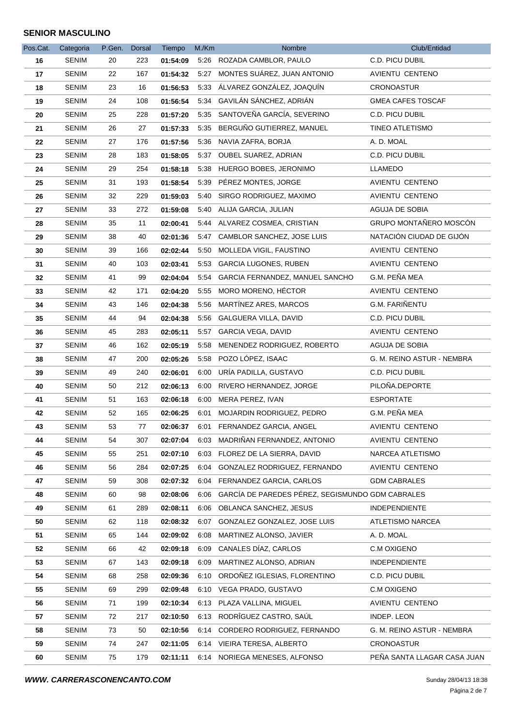| Pos.Cat. | Categoria    | P.Gen. | <b>Dorsal</b> | Tiempo   | M./Km | Nombre                                           | Club/Entidad                |
|----------|--------------|--------|---------------|----------|-------|--------------------------------------------------|-----------------------------|
| 16       | <b>SENIM</b> | 20     | 223           | 01:54:09 |       | 5:26 ROZADA CAMBLOR, PAULO                       | C.D. PICU DUBIL             |
| 17       | SENIM        | 22     | 167           | 01:54:32 |       | 5:27 MONTES SUÁREZ, JUAN ANTONIO                 | AVIENTU CENTENO             |
| 18       | <b>SENIM</b> | 23     | 16            | 01:56:53 |       | 5:33 ÁLVAREZ GONZÁLEZ, JOAQUÍN                   | <b>CRONOASTUR</b>           |
| 19       | SENIM        | 24     | 108           | 01:56:54 |       | 5:34 GAVILÁN SÁNCHEZ, ADRIÁN                     | <b>GMEA CAFES TOSCAF</b>    |
| 20       | <b>SENIM</b> | 25     | 228           | 01:57:20 |       | 5:35 SANTOVEÑA GARCÍA, SEVERINO                  | C.D. PICU DUBIL             |
| 21       | <b>SENIM</b> | 26     | 27            | 01:57:33 | 5:35  | BERGUÑO GUTIERREZ, MANUEL                        | <b>TINEO ATLETISMO</b>      |
| 22       | <b>SENIM</b> | 27     | 176           | 01:57:56 |       | 5:36 NAVIA ZAFRA, BORJA                          | A. D. MOAL                  |
| 23       | <b>SENIM</b> | 28     | 183           | 01:58:05 |       | 5:37 OUBEL SUAREZ, ADRIAN                        | C.D. PICU DUBIL             |
| 24       | <b>SENIM</b> | 29     | 254           | 01:58:18 |       | 5:38 HUERGO BOBES, JERONIMO                      | <b>LLAMEDO</b>              |
| 25       | SENIM        | 31     | 193           | 01:58:54 |       | 5:39 PÉREZ MONTES, JORGE                         | AVIENTU CENTENO             |
| 26       | <b>SENIM</b> | 32     | 229           | 01:59:03 | 5:40  | SIRGO RODRIGUEZ, MAXIMO                          | AVIENTU CENTENO             |
| 27       | <b>SENIM</b> | 33     | 272           | 01:59:08 |       | 5:40 ALIJA GARCIA, JULIAN                        | AGUJA DE SOBIA              |
| 28       | <b>SENIM</b> | 35     | 11            | 02:00:41 |       | 5:44 ALVAREZ COSMEA, CRISTIAN                    | GRUPO MONTAÑERO MOSCÓN      |
| 29       | <b>SENIM</b> | 38     | 40            | 02:01:36 |       | 5:47 CAMBLOR SANCHEZ, JOSE LUIS                  | NATACIÓN CIUDAD DE GIJÓN    |
| 30       | <b>SENIM</b> | 39     | 166           | 02:02:44 |       | 5:50 MOLLEDA VIGIL, FAUSTINO                     | <b>AVIENTU CENTENO</b>      |
| 31       | <b>SENIM</b> | 40     | 103           | 02:03:41 |       | 5:53 GARCIA LUGONES, RUBEN                       | AVIENTU CENTENO             |
| 32       | SENIM        | 41     | 99            | 02:04:04 |       | 5:54 GARCIA FERNANDEZ, MANUEL SANCHO             | G.M. PEÑA MEA               |
| 33       | <b>SENIM</b> | 42     | 171           | 02:04:20 |       | 5:55 MORO MORENO, HÉCTOR                         | AVIENTU CENTENO             |
| 34       | <b>SENIM</b> | 43     | 146           | 02:04:38 | 5:56  | MARTÍNEZ ARES, MARCOS                            | G.M. FARIÑENTU              |
| 35       | <b>SENIM</b> | 44     | 94            | 02:04:38 |       | 5:56 GALGUERA VILLA, DAVID                       | C.D. PICU DUBIL             |
| 36       | <b>SENIM</b> | 45     | 283           | 02:05:11 |       | 5:57 GARCIA VEGA, DAVID                          | AVIENTU CENTENO             |
| 37       | <b>SENIM</b> | 46     | 162           | 02:05:19 | 5:58  | MENENDEZ RODRIGUEZ, ROBERTO                      | AGUJA DE SOBIA              |
| 38       | SENIM        | 47     | 200           | 02:05:26 |       | 5:58 POZO LÓPEZ, ISAAC                           | G. M. REINO ASTUR - NEMBRA  |
| 39       | <b>SENIM</b> | 49     | 240           | 02:06:01 | 6:00  | URÍA PADILLA, GUSTAVO                            | C.D. PICU DUBIL             |
| 40       | <b>SENIM</b> | 50     | 212           | 02:06:13 |       | 6:00 RIVERO HERNANDEZ, JORGE                     | PILOÑA.DEPORTE              |
| 41       | <b>SENIM</b> | 51     | 163           | 02:06:18 |       | 6:00 MERA PEREZ, IVAN                            | <b>ESPORTATE</b>            |
| 42       | <b>SENIM</b> | 52     | 165           | 02:06:25 | 6:01  | MOJARDIN RODRIGUEZ, PEDRO                        | G.M. PEÑA MEA               |
| 43       | <b>SENIM</b> | 53     | 77            | 02:06:37 | 6:01  | FERNANDEZ GARCIA, ANGEL                          | AVIENTU CENTENO             |
| 44       | SENIM        | 54     | 307           | 02:07:04 |       | 6:03 MADRIÑAN FERNANDEZ, ANTONIO                 | AVIENTU CENTENO             |
| 45       | <b>SENIM</b> | 55     | 251           | 02:07:10 |       | 6:03 FLOREZ DE LA SIERRA, DAVID                  | NARCEA ATLETISMO            |
| 46       | SENIM        | 56     | 284           | 02:07:25 |       | 6:04 GONZALEZ RODRIGUEZ, FERNANDO                | AVIENTU CENTENO             |
| 47       | <b>SENIM</b> | 59     | 308           | 02:07:32 | 6:04  | FERNANDEZ GARCIA, CARLOS                         | <b>GDM CABRALES</b>         |
| 48       | SENIM        | 60     | 98            | 02:08:06 | 6:06  | GARCÍA DE PAREDES PÉREZ, SEGISMUNDO GDM CABRALES |                             |
| 49       | <b>SENIM</b> | 61     | 289           | 02:08:11 |       | 6:06 OBLANCA SANCHEZ, JESUS                      | <b>INDEPENDIENTE</b>        |
| 50       | SENIM        | 62     | 118           | 02:08:32 |       | 6:07 GONZALEZ GONZALEZ, JOSE LUIS                | ATLETISMO NARCEA            |
| 51       | <b>SENIM</b> | 65     | 144           | 02:09:02 | 6:08  | MARTINEZ ALONSO, JAVIER                          | A. D. MOAL                  |
| 52       | <b>SENIM</b> | 66     | 42            | 02:09:18 |       | 6:09 CANALES DÍAZ, CARLOS                        | C.M OXIGENO                 |
| 53       | SENIM        | 67     | 143           | 02:09:18 | 6:09  | MARTINEZ ALONSO, ADRIAN                          | <b>INDEPENDIENTE</b>        |
| 54       | <b>SENIM</b> | 68     | 258           | 02:09:36 |       | 6:10 ORDOÑEZ IGLESIAS, FLORENTINO                | C.D. PICU DUBIL             |
| 55       | <b>SENIM</b> | 69     | 299           | 02:09:48 |       | 6:10 VEGA PRADO, GUSTAVO                         | C.M OXIGENO                 |
| 56       | <b>SENIM</b> | 71     | 199           | 02:10:34 |       | 6:13 PLAZA VALLINA, MIGUEL                       | AVIENTU CENTENO             |
| 57       | SENIM        | 72     | 217           | 02:10:50 |       | 6:13 RODRÎGUEZ CASTRO, SAÚL                      | INDEP. LEON                 |
| 58       | <b>SENIM</b> | 73     | 50            | 02:10:56 |       | 6:14 CORDERO RODRIGUEZ, FERNANDO                 | G. M. REINO ASTUR - NEMBRA  |
| 59       | SENIM        | 74     | 247           | 02:11:05 |       | 6:14 VIEIRA TERESA, ALBERTO                      | CRONOASTUR                  |
| 60       | SENIM        | 75     | 179           | 02:11:11 |       | 6:14 NORIEGA MENESES, ALFONSO                    | PEÑA SANTA LLAGAR CASA JUAN |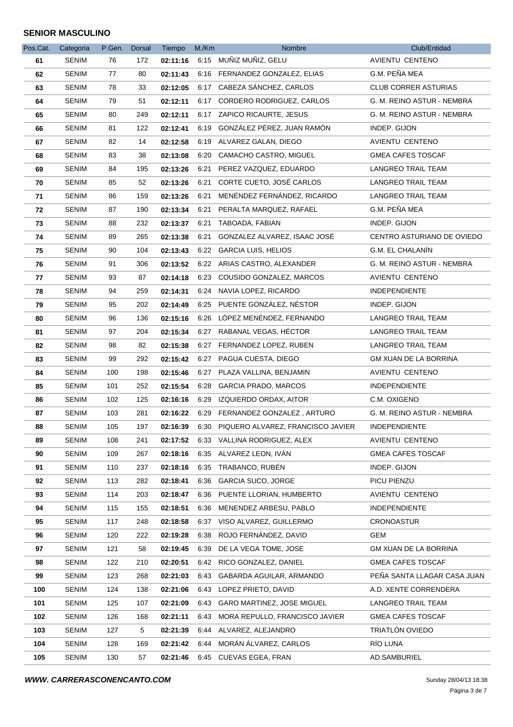| Pos.Cat. | Categoria    | P.Gen. | Dorsal | Tiempo   | M/Km | Nombre                            | Club/Entidad                |
|----------|--------------|--------|--------|----------|------|-----------------------------------|-----------------------------|
| 61       | SENIM        | 76     | 172    |          |      | 02:11:16 6:15 MUÑIZ MUÑIZ, GELU   | AVIENTU CENTENO             |
| 62       | SENIM        | 77     | 80     | 02:11:43 |      | 6:16 FERNANDEZ GONZALEZ, ELIAS    | G.M. PEÑA MEA               |
| 63       | <b>SENIM</b> | 78     | 33     | 02:12:05 |      | 6:17 CABEZA SÁNCHEZ, CARLOS       | <b>CLUB CORRER ASTURIAS</b> |
| 64       | SENIM        | 79     | 51     | 02:12:11 |      | 6:17 CORDERO RODRIGUEZ, CARLOS    | G. M. REINO ASTUR - NEMBRA  |
| 65       | SENIM        | 80     | 249    | 02:12:11 |      | 6:17 ZAPICO RICAURTE, JESUS       | G. M. REINO ASTUR - NEMBRA  |
| 66       | <b>SENIM</b> | 81     | 122    | 02:12:41 |      | 6:19 GONZÁLEZ PÉREZ, JUAN RAMÓN   | INDEP. GIJON                |
| 67       | SENIM        | 82     | 14     | 02:12:58 |      | 6:19 ALVAREZ GALAN, DIEGO         | AVIENTU CENTENO             |
| 68       | SENIM        | 83     | 38     | 02:13:08 |      | 6:20 CAMACHO CASTRO, MIGUEL       | <b>GMEA CAFES TOSCAF</b>    |
| 69       | <b>SENIM</b> | 84     | 195    | 02:13:26 |      | 6:21 PEREZ VAZQUEZ, EDUARDO       | LANGREO TRAIL TEAM          |
| 70       | SENIM        | 85     | 52     | 02:13:26 |      | 6:21 CORTE CUETO, JOSÉ CARLOS     | LANGREO TRAIL TEAM          |
| 71       | <b>SENIM</b> | 86     | 159    | 02:13:26 | 6:21 | MENÉNDEZ FERNÁNDEZ, RICARDO       | LANGREO TRAIL TEAM          |
| 72       | SENIM        | 87     | 190    | 02:13:34 |      | 6:21 PERALTA MARQUEZ, RAFAEL      | G.M. PEÑA MEA               |
| 73       | SENIM        | 88     | 232    | 02:13:37 |      | 6:21 TABOADA, FABIAN              | INDEP. GIJON                |
| 74       | SENIM        | 89     | 265    | 02:13:38 |      | 6:21 GONZALEZ ALVAREZ, ISAAC JOSÉ | CENTRO ASTURIANO DE OVIEDO  |
| 75       | <b>SENIM</b> | 90     | 104    | 02:13:43 |      | 6:22 GARCIA LUIS, HELIOS          | G.M. EL CHALANÍN            |
| 76       | <b>SENIM</b> | 91     | 306    | 02:13:52 |      | 6:22 ARIAS CASTRO, ALEXANDER      | G. M. REINO ASTUR - NEMBRA  |
| 77       | SENIM        | 93     | 87     | 02:14:18 |      | 6:23 COUSIDO GONZALEZ, MARCOS     | AVIENTU CENTENO             |
| 78       | SENIM        | 94     | 259    | 02:14:31 |      | 6:24 NAVIA LOPEZ, RICARDO         | <b>INDEPENDIENTE</b>        |
| 79       | <b>SENIM</b> | 95     | 202    | 02:14:49 |      | 6:25 PUENTE GONZÁLEZ, NÉSTOR      | INDEP. GIJON                |
| 80       | SENIM        | 96     | 136    | 02:15:16 |      | 6:26 LÓPEZ MENÉNDEZ, FERNANDO     | LANGREO TRAIL TEAM          |
| 81       | <b>SENIM</b> | 97     | 204    | 02:15:34 |      | 6:27 RABANAL VEGAS, HÉCTOR        | LANGREO TRAIL TEAM          |
| 82       | SENIM        | 98     | 82     | 02:15:38 |      | 6:27 FERNANDEZ LOPEZ, RUBEN       | LANGREO TRAIL TEAM          |
| 83       | SENIM        | 99     | 292    | 02:15:42 |      | 6:27 PAGUA CUESTA, DIEGO          | GM XUAN DE LA BORRINA       |
| 84       | SENIM        | 100    | 198    | 02:15:46 |      | 6:27 PLAZA VALLINA, BENJAMIN      | AVIENTU CENTENO             |
| 85       | SENIM        | 101    | 252    | 02:15:54 |      | 6:28 GARCIA PRADO, MARCOS         | <b>INDEPENDIENTE</b>        |
| 86       | SENIM        | 102    | 125    | 02:16:16 |      | 6:29 IZQUIERDO ORDAX, AITOR       | C.M. OXIGENO                |
| 87       | SENIM        | 103    | 281    | 02:16:22 |      | 6:29 FERNANDEZ GONZALEZ, ARTURO   | G. M. REINO ASTUR - NEMBRA  |
| 88       | <b>SENIM</b> | 105    | 197    | 02:16:39 | 6:30 | PIQUERO ALVAREZ, FRANCISCO JAVIER | <b>INDEPENDIENTE</b>        |
| 89       | <b>SENIM</b> | 108    | 241    | 02:17:52 |      | 6:33 VALLINA RODRIGUEZ, ALEX      | AVIENTU CENTENO             |
| 90       | SENIM        | 109    | 267    | 02:18:16 |      | 6:35 ALVAREZ LEON, IVAN           | <b>GMEA CAFES TOSCAF</b>    |
| 91       | SENIM        | 110    | 237    | 02:18:16 |      | 6:35 TRABANCO, RUBÉN              | INDEP. GIJON                |
| 92       | SENIM        | 113    | 282    | 02:18:41 | 6:36 | <b>GARCIA SUCO, JORGE</b>         | PICU PIENZU                 |
| 93       | SENIM        | 114    | 203    | 02:18:47 |      | 6:36 PUENTE LLORIAN, HUMBERTO     | AVIENTU CENTENO             |
| 94       | SENIM        | 115    | 155    | 02:18:51 |      | 6:36 MENENDEZ ARBESU, PABLO       | <b>INDEPENDIENTE</b>        |
| 95       | SENIM        | 117    | 248    | 02:18:58 |      | 6:37 VISO ALVAREZ, GUILLERMO      | CRONOASTUR                  |
| 96       | SENIM        | 120    | 222    | 02:19:28 | 6:38 | ROJO FERNÁNDEZ, DAVID             | GEM                         |
| 97       | SENIM        | 121    | 58     | 02:19:45 | 6:39 | DE LA VEGA TOME, JOSE             | GM XUAN DE LA BORRINA       |
| 98       | SENIM        | 122    | 210    | 02:20:51 | 6:42 | RICO GONZALEZ, DANIEL             | <b>GMEA CAFES TOSCAF</b>    |
| 99       | SENIM        | 123    | 268    | 02:21:03 |      | 6:43 GABARDA AGUILAR, ARMANDO     | PEÑA SANTA LLAGAR CASA JUAN |
| 100      | SENIM        | 124    | 138    | 02:21:06 |      | 6:43 LOPEZ PRIETO, DAVID          | A.D. XENTE CORRENDERA       |
| 101      | SENIM        | 125    | 107    | 02:21:09 | 6:43 | <b>GARO MARTINEZ, JOSE MIGUEL</b> | <b>LANGREO TRAIL TEAM</b>   |
| 102      | SENIM        | 126    | 168    | 02:21:11 | 6.43 | MORA REPULLO, FRANCISCO JAVIER    | <b>GMEA CAFES TOSCAF</b>    |
| 103      | SENIM        | 127    | 5      | 02:21:39 |      | 6:44 ALVAREZ, ALEJANDRO           | TRIATLÓN OVIEDO             |
| 104      | SENIM        | 128    | 169    | 02:21:42 | 6:44 | MORÁN ÁLVAREZ, CARLOS             | RÍO LUNA                    |
| 105      | <b>SENIM</b> | 130    | 57     | 02:21:46 |      | 6:45 CUEVAS EGEA, FRAN            | AD.SAMBURIEL                |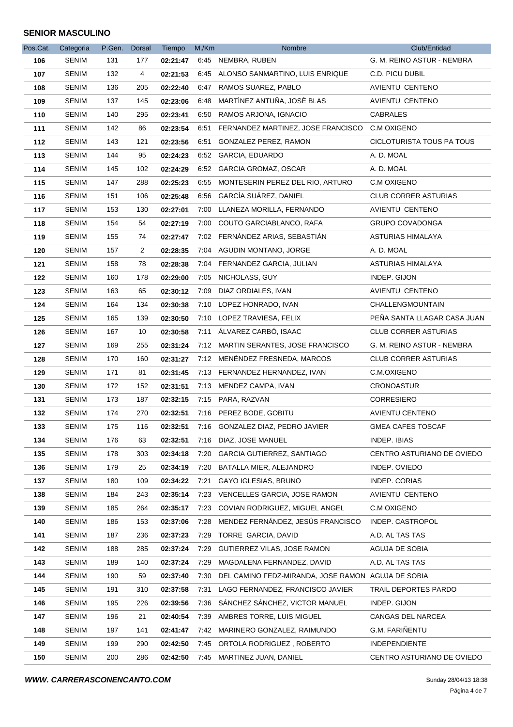| Pos.Cat. | Categoria    | P.Gen. Dorsal |     | Tiempo   | M/Km | Nombre                                             | Club/Entidad                |
|----------|--------------|---------------|-----|----------|------|----------------------------------------------------|-----------------------------|
| 106      | <b>SENIM</b> | 131           | 177 | 02:21:47 |      | 6:45 NEMBRA, RUBEN                                 | G. M. REINO ASTUR - NEMBRA  |
| 107      | <b>SENIM</b> | 132           | 4   | 02:21:53 |      | 6:45 ALONSO SANMARTINO, LUIS ENRIQUE               | C.D. PICU DUBIL             |
| 108      | <b>SENIM</b> | 136           | 205 | 02:22:40 |      | 6:47 RAMOS SUAREZ, PABLO                           | AVIENTU CENTENO             |
| 109      | <b>SENIM</b> | 137           | 145 | 02:23:06 |      | 6:48 MARTINEZ ANTUÑA, JOSÈ BLAS                    | AVIENTU CENTENO             |
| 110      | <b>SENIM</b> | 140           | 295 | 02:23:41 |      | 6:50 RAMOS ARJONA, IGNACIO                         | <b>CABRALES</b>             |
| 111      | <b>SENIM</b> | 142           | 86  | 02:23:54 |      | 6:51 FERNANDEZ MARTINEZ, JOSE FRANCISCO            | C.M OXIGENO                 |
| 112      | SENIM        | 143           | 121 | 02:23:56 |      | 6:51 GONZALEZ PEREZ, RAMON                         | CICLOTURISTA TOUS PA TOUS   |
| 113      | <b>SENIM</b> | 144           | 95  | 02:24:23 |      | 6:52 GARCIA, EDUARDO                               | A. D. MOAL                  |
| 114      | <b>SENIM</b> | 145           | 102 | 02:24:29 |      | 6:52 GARCIA GROMAZ, OSCAR                          | A. D. MOAL                  |
| 115      | SENIM        | 147           | 288 | 02:25:23 |      | 6:55 MONTESERIN PEREZ DEL RIO, ARTURO              | C.M OXIGENO                 |
| 116      | <b>SENIM</b> | 151           | 106 | 02:25:48 |      | 6:56 GARCÍA SUÁREZ, DANIEL                         | <b>CLUB CORRER ASTURIAS</b> |
| 117      | <b>SENIM</b> | 153           | 130 | 02:27:01 |      | 7:00 LLANEZA MORILLA, FERNANDO                     | AVIENTU CENTENO             |
| 118      | <b>SENIM</b> | 154           | 54  | 02:27:19 |      | 7:00 COUTO GARCIABLANCO, RAFA                      | <b>GRUPO COVADONGA</b>      |
| 119      | <b>SENIM</b> | 155           | 74  | 02:27:47 |      | 7:02 FERNÁNDEZ ARIAS, SEBASTIÁN                    | ASTURIAS HIMALAYA           |
| 120      | <b>SENIM</b> | 157           | 2   | 02:28:35 |      | 7:04 AGUDIN MONTANO, JORGE                         | A. D. MOAL                  |
| 121      | <b>SENIM</b> | 158           | 78  | 02:28:38 |      | 7:04 FERNANDEZ GARCIA, JULIAN                      | ASTURIAS HIMALAYA           |
| 122      | SENIM        | 160           | 178 | 02:29:00 |      | 7:05 NICHOLASS, GUY                                | INDEP. GIJON                |
| 123      | <b>SENIM</b> | 163           | 65  | 02:30:12 |      | 7:09 DIAZ ORDIALES, IVAN                           | AVIENTU CENTENO             |
| 124      | <b>SENIM</b> | 164           | 134 | 02:30:38 |      | 7:10 LOPEZ HONRADO, IVAN                           | CHALLENGMOUNTAIN            |
| 125      | SENIM        | 165           | 139 | 02:30:50 |      | 7:10 LOPEZ TRAVIESA, FELIX                         | PEÑA SANTA LLAGAR CASA JUAN |
| 126      | <b>SENIM</b> | 167           | 10  | 02:30:58 |      | 7:11 ÁLVAREZ CARBÓ, ISAAC                          | <b>CLUB CORRER ASTURIAS</b> |
| 127      | <b>SENIM</b> | 169           | 255 | 02:31:24 |      | 7:12 MARTIN SERANTES, JOSE FRANCISCO               | G. M. REINO ASTUR - NEMBRA  |
| 128      | <b>SENIM</b> | 170           | 160 | 02:31:27 |      | 7:12 MENÉNDEZ FRESNEDA, MARCOS                     | <b>CLUB CORRER ASTURIAS</b> |
| 129      | <b>SENIM</b> | 171           | 81  | 02:31:45 |      | 7:13 FERNANDEZ HERNANDEZ, IVAN                     | C.M.OXIGENO                 |
| 130      | <b>SENIM</b> | 172           | 152 | 02:31:51 |      | 7:13 MENDEZ CAMPA, IVAN                            | <b>CRONOASTUR</b>           |
| 131      | <b>SENIM</b> | 173           | 187 | 02:32:15 |      | 7:15 PARA, RAZVAN                                  | <b>CORRESIERO</b>           |
| 132      | <b>SENIM</b> | 174           | 270 | 02:32:51 |      | 7:16 PEREZ BODE, GOBITU                            | <b>AVIENTU CENTENO</b>      |
| 133      | <b>SENIM</b> | 175           | 116 | 02:32:51 |      | 7:16 GONZALEZ DIAZ, PEDRO JAVIER                   | <b>GMEA CAFES TOSCAF</b>    |
| 134      | <b>SENIM</b> | 176           | 63  | 02:32:51 |      | 7:16 DIAZ, JOSE MANUEL                             | <b>INDEP. IBIAS</b>         |
| 135      | <b>SENIM</b> | 178           | 303 | 02:34:18 | 7:20 | GARCIA GUTIERREZ, SANTIAGO                         | CENTRO ASTURIANO DE OVIEDO  |
| 136      | <b>SENIM</b> | 179           | 25  | 02:34:19 | 7:20 | BATALLA MIER, ALEJANDRO                            | INDEP. OVIEDO               |
| 137      | <b>SENIM</b> | 180           | 109 | 02:34:22 | 7:21 | GAYO IGLESIAS, BRUNO                               | INDEP. CORIAS               |
| 138      | <b>SENIM</b> | 184           | 243 | 02:35:14 | 7.23 | VENCELLES GARCIA, JOSE RAMON                       | AVIENTU CENTENO             |
| 139      | <b>SENIM</b> | 185           | 264 | 02:35:17 | 7.23 | COVIAN RODRIGUEZ, MIGUEL ANGEL                     | C.M OXIGENO                 |
| 140      | SENIM        | 186           | 153 | 02:37:06 | 7.28 | MENDEZ FERNANDEZ, JESÚS FRANCISCO                  | INDEP. CASTROPOL            |
| 141      | SENIM        | 187           | 236 | 02:37:23 | 7:29 | TORRE GARCIA, DAVID                                | A.D. AL TAS TAS             |
| 142      | <b>SENIM</b> | 188           | 285 | 02:37:24 | 7:29 | GUTIERREZ VILAS, JOSE RAMON                        | AGUJA DE SOBIA              |
| 143      | SENIM        | 189           | 140 | 02:37:24 | 7:29 | MAGDALENA FERNANDEZ, DAVID                         | A.D. AL TAS TAS             |
| 144      | <b>SENIM</b> | 190           | 59  | 02:37:40 | 7:30 | DEL CAMINO FEDZ-MIRANDA, JOSE RAMON AGUJA DE SOBIA |                             |
| 145      | <b>SENIM</b> | 191           | 310 | 02:37:58 | 7:31 | LAGO FERNANDEZ, FRANCISCO JAVIER                   | TRAIL DEPORTES PARDO        |
| 146      | SENIM        | 195           | 226 | 02:39:56 | 7:36 | SÁNCHEZ SÁNCHEZ, VICTOR MANUEL                     | INDEP. GIJON                |
| 147      | <b>SENIM</b> | 196           | 21  | 02:40:54 | 7.39 | AMBRES TORRE, LUIS MIGUEL                          | CANGAS DEL NARCEA           |
| 148      | <b>SENIM</b> | 197           | 141 | 02:41:47 | 7:42 | MARINERO GONZALEZ, RAIMUNDO                        | G.M. FARIÑENTU              |
| 149      | <b>SENIM</b> | 199           | 290 | 02:42:50 | 7:45 | ORTOLA RODRIGUEZ, ROBERTO                          | <b>INDEPENDIENTE</b>        |
| 150      | <b>SENIM</b> | 200           | 286 | 02:42:50 |      | 7:45 MARTINEZ JUAN, DANIEL                         | CENTRO ASTURIANO DE OVIEDO  |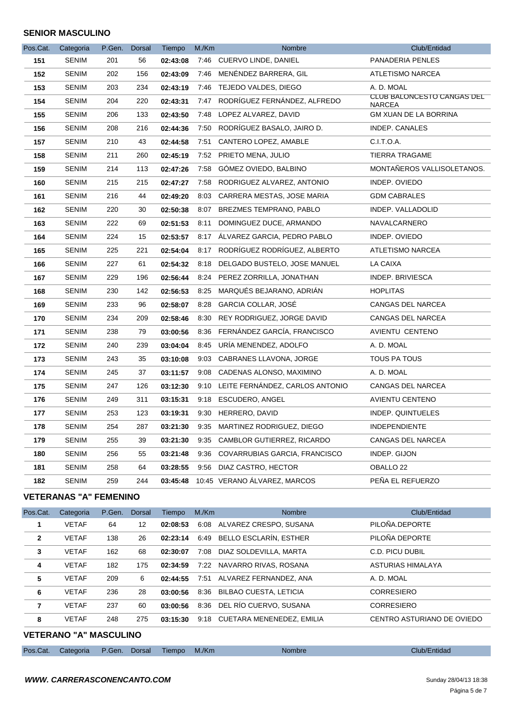| Pos.Cat. | Categoria    | P.Gen. Dorsal |     | Tiempo   | M/Km | Nombre                               | Club/Entidad                         |
|----------|--------------|---------------|-----|----------|------|--------------------------------------|--------------------------------------|
| 151      | <b>SENIM</b> | 201           | 56  | 02:43:08 |      | 7:46 CUERVO LINDE, DANIEL            | PANADERIA PENLES                     |
| 152      | <b>SENIM</b> | 202           | 156 | 02:43:09 |      | 7:46 MENÉNDEZ BARRERA, GIL           | ATLETISMO NARCEA                     |
| 153      | SENIM        | 203           | 234 | 02:43:19 |      | 7:46 TEJEDO VALDES, DIEGO            | A. D. MOAL                           |
| 154      | <b>SENIM</b> | 204           | 220 | 02:43:31 |      | 7:47 RODRÍGUEZ FERNÁNDEZ, ALFREDO    | CLUB BALONCESTO CANGAS DEL<br>NARCEA |
| 155      | <b>SENIM</b> | 206           | 133 | 02:43:50 | 7:48 | LOPEZ ALVAREZ, DAVID                 | <b>GM XUAN DE LA BORRINA</b>         |
| 156      | <b>SENIM</b> | 208           | 216 | 02:44:36 |      | 7:50 RODRÍGUEZ BASALO, JAIRO D.      | <b>INDEP. CANALES</b>                |
| 157      | <b>SENIM</b> | 210           | 43  | 02:44:58 | 7:51 | CANTERO LOPEZ, AMABLE                | C.I.T.O.A.                           |
| 158      | <b>SENIM</b> | 211           | 260 | 02:45:19 |      | 7:52 PRIETO MENA, JULIO              | <b>TIERRA TRAGAME</b>                |
| 159      | <b>SENIM</b> | 214           | 113 | 02:47:26 |      | 7:58 GOMEZ OVIEDO, BALBINO           | MONTAÑEROS VALLISOLETANOS.           |
| 160      | <b>SENIM</b> | 215           | 215 | 02:47:27 |      | 7:58 RODRIGUEZ ALVAREZ, ANTONIO      | INDEP. OVIEDO                        |
| 161      | <b>SENIM</b> | 216           | 44  | 02:49:20 |      | 8:03 CARRERA MESTAS, JOSE MARIA      | <b>GDM CABRALES</b>                  |
| 162      | <b>SENIM</b> | 220           | 30  | 02:50:38 |      | 8:07 BREZMES TEMPRANO, PABLO         | INDEP. VALLADOLID                    |
| 163      | <b>SENIM</b> | 222           | 69  | 02:51:53 | 8:11 | DOMINGUEZ DUCE, ARMANDO              | NAVALCARNERO                         |
| 164      | <b>SENIM</b> | 224           | 15  | 02:53:57 | 8:17 | ÁLVAREZ GARCIA, PEDRO PABLO          | INDEP. OVIEDO                        |
| 165      | <b>SENIM</b> | 225           | 221 | 02:54:04 |      | 8:17 RODRÍGUEZ RODRÍGUEZ, ALBERTO    | ATLETISMO NARCEA                     |
| 166      | <b>SENIM</b> | 227           | 61  | 02:54:32 | 8:18 | DELGADO BUSTELO, JOSE MANUEL         | LA CAIXA                             |
| 167      | <b>SENIM</b> | 229           | 196 | 02:56:44 |      | 8:24 PEREZ ZORRILLA, JONATHAN        | <b>INDEP. BRIVIESCA</b>              |
| 168      | <b>SENIM</b> | 230           | 142 | 02:56:53 | 8:25 | MARQUÉS BEJARANO, ADRIÁN             | <b>HOPLITAS</b>                      |
| 169      | <b>SENIM</b> | 233           | 96  | 02:58:07 |      | 8:28 GARCIA COLLAR, JOSÉ             | CANGAS DEL NARCEA                    |
| 170      | <b>SENIM</b> | 234           | 209 | 02:58:46 | 8:30 | REY RODRIGUEZ, JORGE DAVID           | CANGAS DEL NARCEA                    |
| 171      | <b>SENIM</b> | 238           | 79  | 03:00:56 | 8:36 | FERNÁNDEZ GARCÍA, FRANCISCO          | AVIENTU CENTENO                      |
| 172      | <b>SENIM</b> | 240           | 239 | 03:04:04 | 8:45 | URÍA MENENDEZ, ADOLFO                | A. D. MOAL                           |
| 173      | <b>SENIM</b> | 243           | 35  | 03:10:08 |      | 9:03 CABRANES LLAVONA, JORGE         | TOUS PA TOUS                         |
| 174      | <b>SENIM</b> | 245           | 37  | 03:11:57 |      | 9:08 CADENAS ALONSO, MAXIMINO        | A. D. MOAL                           |
| 175      | <b>SENIM</b> | 247           | 126 | 03:12:30 |      | 9:10 LEITE FERNÁNDEZ, CARLOS ANTONIO | CANGAS DEL NARCEA                    |
| 176      | <b>SENIM</b> | 249           | 311 | 03:15:31 |      | 9:18 ESCUDERO, ANGEL                 | AVIENTU CENTENO                      |
| 177      | <b>SENIM</b> | 253           | 123 | 03:19:31 |      | 9:30 HERRERO, DAVID                  | INDEP. QUINTUELES                    |
| 178      | <b>SENIM</b> | 254           | 287 | 03:21:30 | 9:35 | MARTINEZ RODRIGUEZ, DIEGO            | <b>INDEPENDIENTE</b>                 |
| 179      | <b>SENIM</b> | 255           | 39  | 03:21:30 |      | 9:35 CAMBLOR GUTIERREZ, RICARDO      | CANGAS DEL NARCEA                    |
| 180      | <b>SENIM</b> | 256           | 55  | 03:21:48 |      | 9:36 COVARRUBIAS GARCIA, FRANCISCO   | INDEP. GIJON                         |
| 181      | <b>SENIM</b> | 258           | 64  | 03:28:55 |      | 9:56 DIAZ CASTRO, HECTOR             | OBALLO 22                            |
| 182      | <b>SENIM</b> | 259           | 244 | 03:45:48 |      | 10:45 VERANO ÁLVAREZ, MARCOS         | PEÑA EL REFUERZO                     |

# **VETERANAS "A" FEMENINO**

| Pos.Cat.       | Categoria    | P.Gen. | Dorsal | Tiempo   | M/Km | <b>Nombre</b>                  | Club/Entidad               |
|----------------|--------------|--------|--------|----------|------|--------------------------------|----------------------------|
| 1              | <b>VETAF</b> | 64     | 12     | 02:08:53 | 6:08 | ALVAREZ CRESPO, SUSANA         | PILOÑA.DEPORTE             |
| $\overline{2}$ | <b>VETAF</b> | 138    | 26     | 02:23:14 | 6:49 | BELLO ESCLARÍN, ESTHER         | PILOÑA DEPORTE             |
| 3              | <b>VETAF</b> | 162    | 68     | 02:30:07 | 7:08 | DIAZ SOLDEVILLA, MARTA         | C.D. PICU DUBIL            |
| 4              | <b>VETAF</b> | 182    | 175    | 02:34:59 | 7:22 | NAVARRO RIVAS, ROSANA          | ASTURIAS HIMALAYA          |
| 5              | <b>VETAF</b> | 209    | 6      | 02:44:55 |      | 7:51 ALVAREZ FERNANDEZ, ANA    | A. D. MOAL                 |
| 6              | <b>VETAF</b> | 236    | 28     | 03:00:56 | 8:36 | <b>BILBAO CUESTA, LETICIA</b>  | <b>CORRESIERO</b>          |
| 7              | <b>VETAF</b> | 237    | 60     | 03:00:56 |      | 8:36 DEL RÍO CUERVO, SUSANA    | <b>CORRESIERO</b>          |
| 8              | <b>VETAF</b> | 248    | 275    | 03:15:30 |      | 9:18 CUETARA MENENEDEZ, EMILIA | CENTRO ASTURIANO DE OVIEDO |
|                |              |        |        |          |      |                                |                            |

# **VETERANO "A" MASCULINO**

| Pos.Cat. |  |  |
|----------|--|--|
|          |  |  |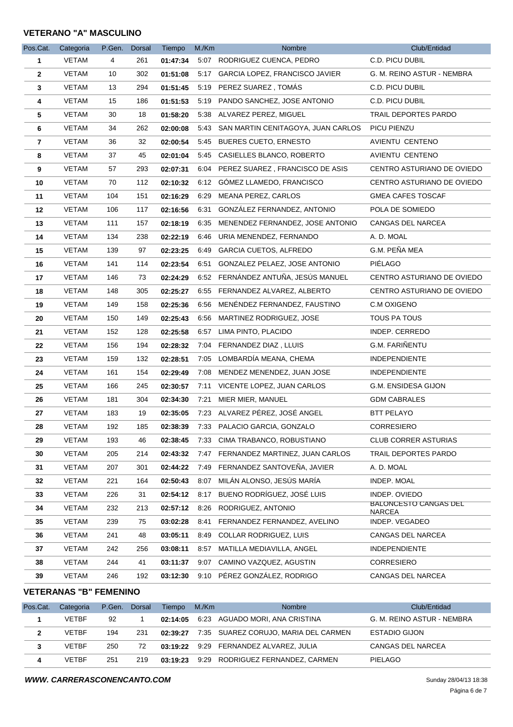#### **VETERANO "A" MASCULINO**

| Pos.Cat.       | Categoria    | P.Gen. | Dorsal | Tiempo   | M./Km | Nombre                                  | Club/Entidad                           |
|----------------|--------------|--------|--------|----------|-------|-----------------------------------------|----------------------------------------|
| 1              | VETAM        | 4      | 261    | 01:47:34 |       | 5:07 RODRIGUEZ CUENCA, PEDRO            | C.D. PICU DUBIL                        |
| $\overline{2}$ | VETAM        | 10     | 302    | 01:51:08 |       | 5:17 GARCIA LOPEZ, FRANCISCO JAVIER     | G. M. REINO ASTUR - NEMBRA             |
| 3              | VETAM        | 13     | 294    | 01:51:45 |       | 5:19 PEREZ SUAREZ, TOMAS                | C.D. PICU DUBIL                        |
| 4              | <b>VETAM</b> | 15     | 186    | 01:51:53 | 5:19  | PANDO SANCHEZ, JOSE ANTONIO             | C.D. PICU DUBIL                        |
| 5              | VETAM        | 30     | 18     | 01:58:20 |       | 5:38 ALVAREZ PEREZ, MIGUEL              | TRAIL DEPORTES PARDO                   |
| 6              | VETAM        | 34     | 262    | 02:00:08 |       | 5:43 SAN MARTIN CENITAGOYA, JUAN CARLOS | PICU PIENZU                            |
| 7              | VETAM        | 36     | 32     | 02:00:54 | 5:45  | <b>BUERES CUETO, ERNESTO</b>            | AVIENTU CENTENO                        |
| 8              | <b>VETAM</b> | 37     | 45     | 02:01:04 |       | 5:45 CASIELLES BLANCO, ROBERTO          | AVIENTU CENTENO                        |
| 9              | VETAM        | 57     | 293    | 02:07:31 | 6:04  | PEREZ SUAREZ, FRANCISCO DE ASIS         | CENTRO ASTURIANO DE OVIEDO             |
| 10             | VETAM        | 70     | 112    | 02:10:32 |       | 6:12 GOMEZ LLAMEDO, FRANCISCO           | CENTRO ASTURIANO DE OVIEDO             |
| 11             | VETAM        | 104    | 151    | 02:16:29 | 6:29  | MEANA PEREZ, CARLOS                     | <b>GMEA CAFES TOSCAF</b>               |
| 12             | VETAM        | 106    | 117    | 02:16:56 | 6:31  | GONZÁLEZ FERNANDEZ, ANTONIO             | POLA DE SOMIEDO                        |
| 13             | VETAM        | 111    | 157    | 02:18:19 |       | 6:35 MENENDEZ FERNANDEZ, JOSE ANTONIO   | CANGAS DEL NARCEA                      |
| 14             | VETAM        | 134    | 238    | 02:22:19 | 6.46  | URIA MENENDEZ, FERNANDO                 | A. D. MOAL                             |
| 15             | <b>VETAM</b> | 139    | 97     | 02:23:25 |       | 6:49 GARCIA CUETOS, ALFREDO             | G.M. PEÑA MEA                          |
| 16             | VETAM        | 141    | 114    | 02:23:54 | 6:51  | <b>GONZALEZ PELAEZ, JOSE ANTONIO</b>    | <b>PIÉLAGO</b>                         |
| 17             | VETAM        | 146    | 73     | 02:24:29 | 6:52  | FERNÁNDEZ ANTUÑA, JESÚS MANUEL          | CENTRO ASTURIANO DE OVIEDO             |
| 18             | VETAM        | 148    | 305    | 02:25:27 |       | 6:55 FERNANDEZ ALVAREZ, ALBERTO         | CENTRO ASTURIANO DE OVIEDO             |
| 19             | VETAM        | 149    | 158    | 02:25:36 |       | 6:56 MENÉNDEZ FERNANDEZ, FAUSTINO       | C.M OXIGENO                            |
| 20             | VETAM        | 150    | 149    | 02:25:43 | 6:56  | MARTINEZ RODRIGUEZ, JOSE                | <b>TOUS PA TOUS</b>                    |
| 21             | <b>VETAM</b> | 152    | 128    | 02:25:58 |       | 6:57 LIMA PINTO, PLACIDO                | INDEP. CERREDO                         |
| 22             | VETAM        | 156    | 194    | 02:28:32 |       | 7:04 FERNANDEZ DIAZ, LLUIS              | G.M. FARIÑENTU                         |
| 23             | VETAM        | 159    | 132    | 02:28:51 |       | 7:05 LOMBARDÍA MEANA, CHEMA             | <b>INDEPENDIENTE</b>                   |
| 24             | VETAM        | 161    | 154    | 02:29:49 |       | 7:08 MENDEZ MENENDEZ, JUAN JOSE         | <b>INDEPENDIENTE</b>                   |
| 25             | <b>VETAM</b> | 166    | 245    | 02:30:57 |       | 7:11 VICENTE LOPEZ, JUAN CARLOS         | G.M. ENSIDESA GIJON                    |
| 26             | VETAM        | 181    | 304    | 02:34:30 | 7:21  | MIER MIER, MANUEL                       | <b>GDM CABRALES</b>                    |
| 27             | VETAM        | 183    | 19     | 02:35:05 |       | 7:23 ALVAREZ PÉREZ, JOSÉ ANGEL          | <b>BTT PELAYO</b>                      |
| 28             | <b>VETAM</b> | 192    | 185    | 02:38:39 |       | 7:33 PALACIO GARCIA, GONZALO            | <b>CORRESIERO</b>                      |
| 29             | VETAM        | 193    | 46     | 02:38:45 |       | 7:33 CIMA TRABANCO, ROBUSTIANO          | <b>CLUB CORRER ASTURIAS</b>            |
| 30             | VETAM        | 205    | 214    | 02:43:32 |       | 7:47 FERNANDEZ MARTINEZ, JUAN CARLOS    | TRAIL DEPORTES PARDO                   |
| 31             | VETAM        | 207    | 301    | 02:44:22 |       | 7:49 FERNANDEZ SANTOVEÑA, JAVIER        | A. D. MOAL                             |
| 32             | VETAM        | 221    | 164    | 02:50:43 |       | 8:07 MILÁN ALONSO, JESÚS MARÍA          | INDEP. MOAL                            |
| 33             | <b>VETAM</b> | 226    | 31     | 02:54:12 | 8:17  | BUENO RODRÍGUEZ, JOSÉ LUIS              | INDEP. OVIEDO<br>BALONCESTO CANGAS DEL |
| 34             | VETAM        | 232    | 213    | 02:57:12 |       | 8:26 RODRIGUEZ, ANTONIO                 | <b>NARCEA</b>                          |
| 35             | VETAM        | 239    | 75     | 03:02:28 | 8.41  | FERNANDEZ FERNANDEZ, AVELINO            | INDEP. VEGADEO                         |
| 36             | <b>VETAM</b> | 241    | 48     | 03:05:11 |       | 8:49 COLLAR RODRIGUEZ, LUIS             | CANGAS DEL NARCEA                      |
| 37             | <b>VETAM</b> | 242    | 256    | 03:08:11 |       | 8:57 MATILLA MEDIAVILLA, ANGEL          | <b>INDEPENDIENTE</b>                   |
| 38             | <b>VETAM</b> | 244    | 41     | 03:11:37 |       | 9:07 CAMINO VAZQUEZ, AGUSTIN            | <b>CORRESIERO</b>                      |
| 39             | <b>VETAM</b> | 246    | 192    | 03:12:30 |       | 9:10 PÉREZ GONZÁLEZ, RODRIGO            | CANGAS DEL NARCEA                      |

#### **VETERANAS "B" FEMENINO**

| Pos.Cat.     | Categoria    | P.Gen. | Dorsal | Tiempo   | M./Km | <b>Nombre</b>                        | Club/Entidad               |
|--------------|--------------|--------|--------|----------|-------|--------------------------------------|----------------------------|
|              | <b>VFTBF</b> | 92     |        | 02:14:05 |       | 6:23 AGUADO MORI, ANA CRISTINA       | G. M. REINO ASTUR - NEMBRA |
| $\mathbf{2}$ | <b>VFTBF</b> | 194    | 231    | 02:39:27 |       | 7:35 SUAREZ CORUJO, MARIA DEL CARMEN | <b>ESTADIO GIJON</b>       |
| 3            | <b>VFTBF</b> | 250    | 72     | 03:19:22 |       | 9:29 FERNANDEZ ALVAREZ, JULIA        | CANGAS DEL NARCEA          |
| 4            | <b>VFTBF</b> | 251    | 219    | 03:19:23 |       | 9:29 RODRIGUEZ FERNANDEZ, CARMEN     | PIELAGO                    |

**WWW. CARRERASCONENCANTO.COM**